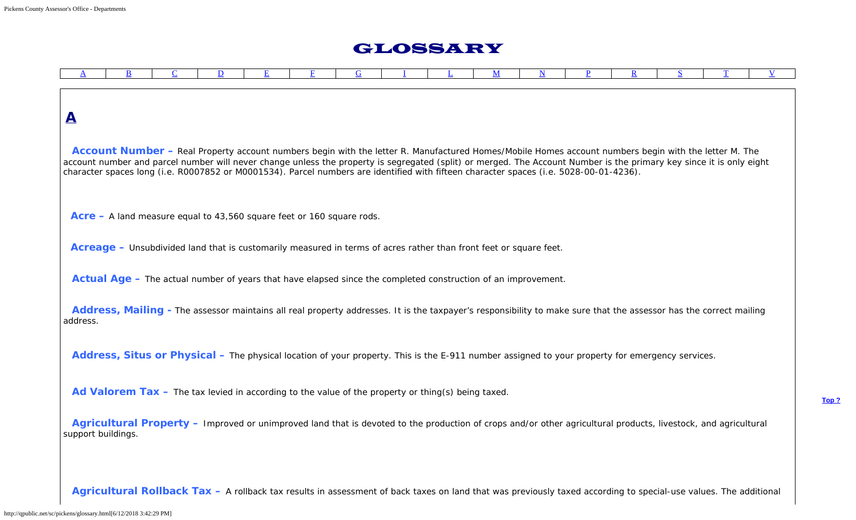## GLOSSARY

<span id="page-0-0"></span>

**Account Number –** Real Property account numbers begin with the letter R. Manufactured Homes/Mobile Homes account numbers begin with the letter M. The account number and parcel number will never change unless the property is segregated (split) or merged. The Account Number is the primary key since it is only eight character spaces long (i.e. R0007852 or M0001534). Parcel numbers are identified with fifteen character spaces (i.e. 5028-00-01-4236).

**Acre –** A land measure equal to 43,560 square feet or 160 square rods.

**Acreage –** Unsubdivided land that is customarily measured in terms of acres rather than front feet or square feet.

**Actual Age –** The actual number of years that have elapsed since the completed construction of an improvement.

**Address, Mailing -** The assessor maintains all real property addresses. It is the taxpayer's responsibility to make sure that the assessor has the correct mailing address.

Address, Situs or Physical – The physical location of your property. This is the E-911 number assigned to your property for emergency services.

Ad Valorem Tax – The tax levied in according to the value of the property or thing(s) being taxed.

**Agricultural Property –** Improved or unimproved land that is devoted to the production of crops and/or other agricultural products, livestock, and agricultural support buildings.

**Agricultural Rollback Tax –** A rollback tax results in assessment of back taxes on land that was previously taxed according to special-use values. The additional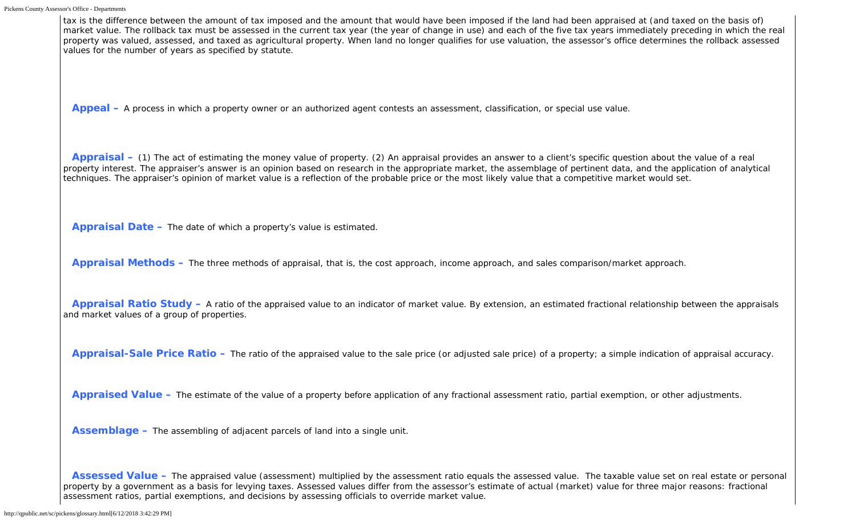tax is the difference between the amount of tax imposed and the amount that would have been imposed if the land had been appraised at (and taxed on the basis of) market value. The rollback tax must be assessed in the current tax year (the year of change in use) and each of the five tax years immediately preceding in which the real property was valued, assessed, and taxed as agricultural property. When land no longer qualifies for use valuation, the assessor's office determines the rollback assessed values for the number of years as specified by statute.

**Appeal –** A process in which a property owner or an authorized agent contests an assessment, classification, or special use value.

**Appraisal –** (1) The act of estimating the money value of property. (2) An appraisal provides an answer to a client's specific question about the value of a real property interest. The appraiser's answer is an opinion based on research in the appropriate market, the assemblage of pertinent data, and the application of analytical techniques. The appraiser's opinion of market value is a reflection of the probable price or the most likely value that a competitive market would set.

**Appraisal Date –** The date of which a property's value is estimated.

**Appraisal Methods –** The three methods of appraisal, that is, the cost approach, income approach, and sales comparison/market approach.

**Appraisal Ratio Study –** A ratio of the appraised value to an indicator of market value. By extension, an estimated fractional relationship between the appraisals and market values of a group of properties.

**Appraisal-Sale Price Ratio –** The ratio of the appraised value to the sale price (or adjusted sale price) of a property; a simple indication of appraisal accuracy.

**Appraised Value –** The estimate of the value of a property before application of any fractional assessment ratio, partial exemption, or other adjustments.

**Assemblage –** The assembling of adjacent parcels of land into a single unit.

Assessed Value – The appraised value (assessment) multiplied by the assessment ratio equals the assessed value. The taxable value set on real estate or personal property by a government as a basis for levying taxes. Assessed values differ from the assessor's estimate of actual (market) value for three major reasons: fractional assessment ratios, partial exemptions, and decisions by assessing officials to override market value.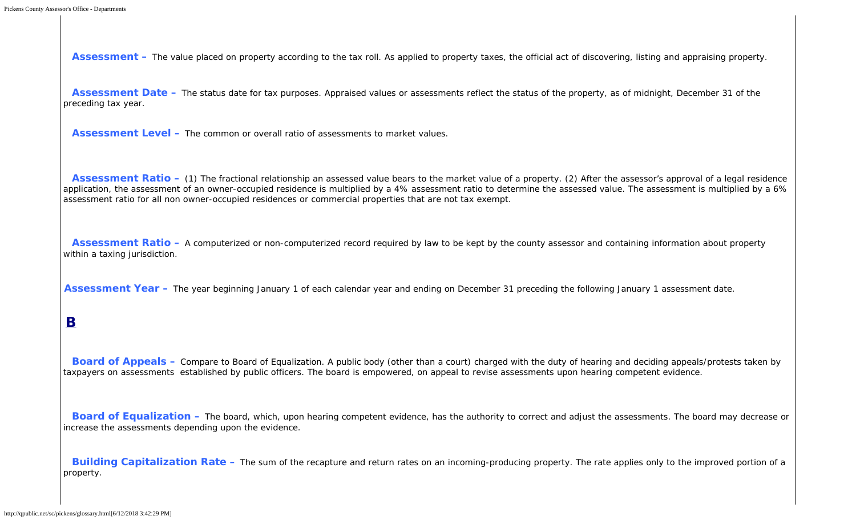**Assessment –** The value placed on property according to the tax roll. As applied to property taxes, the official act of discovering, listing and appraising property.

Assessment Date – The status date for tax purposes. Appraised values or assessments reflect the status of the property, as of midnight, December 31 of the preceding tax year.

**Assessment Level –** The common or overall ratio of assessments to market values.

**Assessment Ratio –** (1) The fractional relationship an assessed value bears to the market value of a property. (2) After the assessor's approval of a legal residence application, the assessment of an owner-occupied residence is multiplied by a 4% assessment ratio to determine the assessed value. The assessment is multiplied by a 6% assessment ratio for all non owner-occupied residences or commercial properties that are not tax exempt.

**Assessment Ratio –** A computerized or non-computerized record required by law to be kept by the county assessor and containing information about property within a taxing jurisdiction.

<span id="page-2-0"></span>**Assessment Year –** The year beginning January 1 of each calendar year and ending on December 31 preceding the following January 1 assessment date.

#### **B**

**Board of Appeals –** Compare to Board of Equalization. A public body (other than a court) charged with the duty of hearing and deciding appeals/protests taken by taxpayers on assessments established by public officers. The board is empowered, on appeal to revise assessments upon hearing competent evidence.

**Board of Equalization –** The board, which, upon hearing competent evidence, has the authority to correct and adjust the assessments. The board may decrease or increase the assessments depending upon the evidence.

<span id="page-2-1"></span>**Building Capitalization Rate –** The sum of the recapture and return rates on an incoming-producing property. The rate applies only to the improved portion of a property.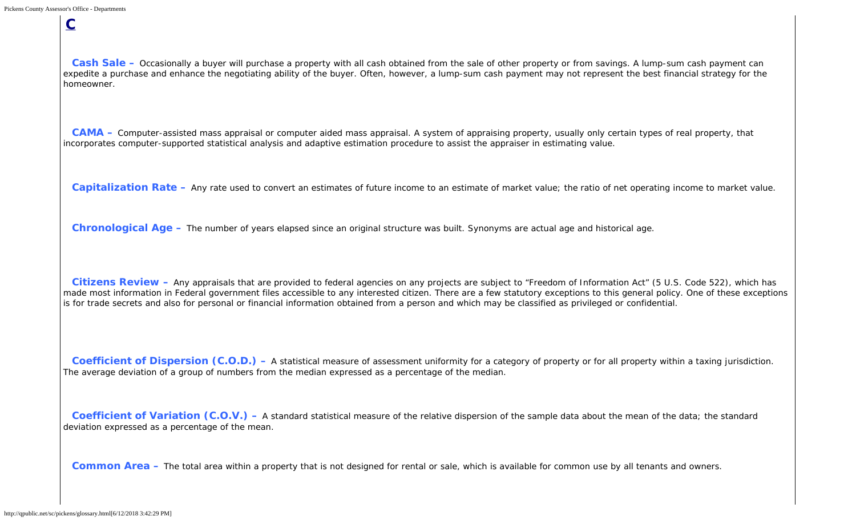**C**

Cash Sale – Occasionally a buyer will purchase a property with all cash obtained from the sale of other property or from savings. A lump-sum cash payment can expedite a purchase and enhance the negotiating ability of the buyer. Often, however, a lump-sum cash payment may not represent the best financial strategy for the homeowner.

**CAMA –** Computer-assisted mass appraisal or computer aided mass appraisal. A system of appraising property, usually only certain types of real property, that incorporates computer-supported statistical analysis and adaptive estimation procedure to assist the appraiser in estimating value.

**Capitalization Rate –** Any rate used to convert an estimates of future income to an estimate of market value; the ratio of net operating income to market value.

**Chronological Age –** The number of years elapsed since an original structure was built. Synonyms are actual age and historical age.

**Citizens Review –** Any appraisals that are provided to federal agencies on any projects are subject to "Freedom of Information Act" (5 U.S. Code 522), which has made most information in Federal government files accessible to any interested citizen. There are a few statutory exceptions to this general policy. One of these exceptions is for trade secrets and also for personal or financial information obtained from a person and which may be classified as privileged or confidential.

**Coefficient of Dispersion (C.O.D.)** – A statistical measure of assessment uniformity for a category of property or for all property within a taxing jurisdiction. The average deviation of a group of numbers from the median expressed as a percentage of the median.

**Coefficient of Variation (C.O.V.)** – A standard statistical measure of the relative dispersion of the sample data about the mean of the data; the standard deviation expressed as a percentage of the mean.

**Common Area –** The total area within a property that is not designed for rental or sale, which is available for common use by all tenants and owners.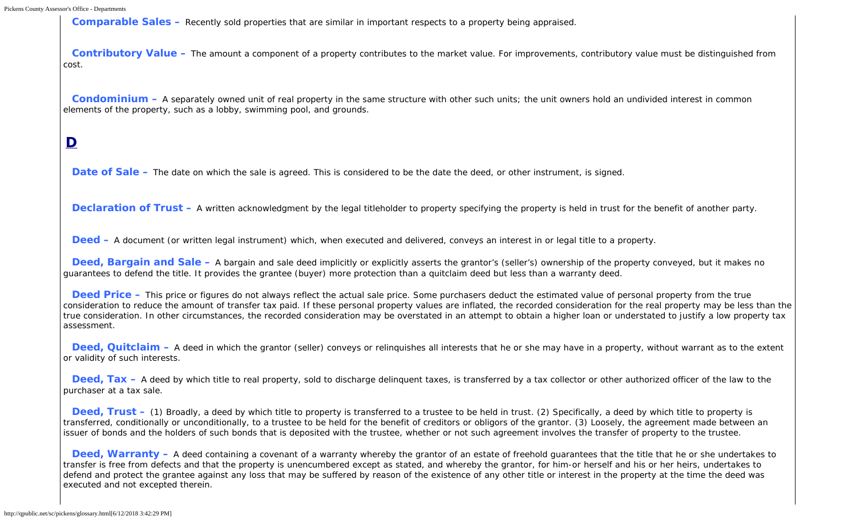**Comparable Sales –** Recently sold properties that are similar in important respects to a property being appraised.

**Contributory Value –** The amount a component of a property contributes to the market value. For improvements, contributory value must be distinguished from cost.

**Condominium –** A separately owned unit of real property in the same structure with other such units; the unit owners hold an undivided interest in common elements of the property, such as a lobby, swimming pool, and grounds.

## <span id="page-4-0"></span>**D**

**Date of Sale –** The date on which the sale is agreed. This is considered to be the date the deed, or other instrument, is signed.

**Declaration of Trust** – A written acknowledgment by the legal titleholder to property specifying the property is held in trust for the benefit of another party.

**Deed –** A document (or written legal instrument) which, when executed and delivered, conveys an interest in or legal title to a property.

**Deed, Bargain and Sale –** A bargain and sale deed implicitly or explicitly asserts the grantor's (seller's) ownership of the property conveyed, but it makes no guarantees to defend the title. It provides the grantee (buyer) more protection than a quitclaim deed but less than a warranty deed.

**Deed Price –** This price or figures do not always reflect the actual sale price. Some purchasers deduct the estimated value of personal property from the true consideration to reduce the amount of transfer tax paid. If these personal property values are inflated, the recorded consideration for the real property may be less than the true consideration. In other circumstances, the recorded consideration may be overstated in an attempt to obtain a higher loan or understated to justify a low property tax assessment.

**Deed, Quitclaim –** A deed in which the grantor (seller) conveys or relinguishes all interests that he or she may have in a property, without warrant as to the extent or validity of such interests.

**Deed, Tax –** A deed by which title to real property, sold to discharge delinquent taxes, is transferred by a tax collector or other authorized officer of the law to the purchaser at a tax sale.

**Deed, Trust** – (1) Broadly, a deed by which title to property is transferred to a trustee to be held in trust. (2) Specifically, a deed by which title to property is transferred, conditionally or unconditionally, to a trustee to be held for the benefit of creditors or obligors of the grantor. (3) Loosely, the agreement made between an issuer of bonds and the holders of such bonds that is deposited with the trustee, whether or not such agreement involves the transfer of property to the trustee.

**Deed, Warranty –** A deed containing a covenant of a warranty whereby the grantor of an estate of freehold guarantees that the title that he or she undertakes to transfer is free from defects and that the property is unencumbered except as stated, and whereby the grantor, for him-or herself and his or her heirs, undertakes to defend and protect the grantee against any loss that may be suffered by reason of the existence of any other title or interest in the property at the time the deed was executed and not excepted therein.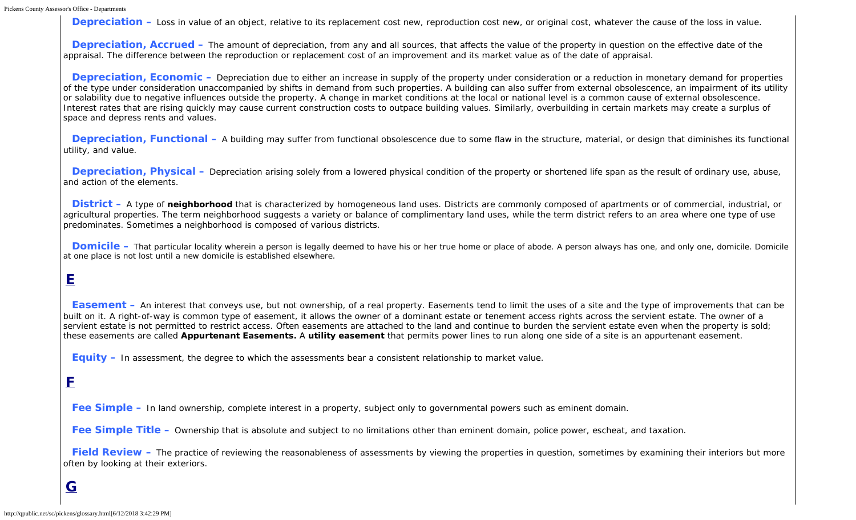```
Pickens County Assessor's Office - Departments
```
**Depreciation –** Loss in value of an object, relative to its replacement cost new, reproduction cost new, or original cost, whatever the cause of the loss in value.

**Depreciation, Accrued –** The amount of depreciation, from any and all sources, that affects the value of the property in question on the effective date of the appraisal. The difference between the reproduction or replacement cost of an improvement and its market value as of the date of appraisal.

**Depreciation, Economic –** Depreciation due to either an increase in supply of the property under consideration or a reduction in monetary demand for properties of the type under consideration unaccompanied by shifts in demand from such properties. A building can also suffer from external obsolescence, an impairment of its utility or salability due to negative influences outside the property. A change in market conditions at the local or national level is a common cause of external obsolescence. Interest rates that are rising quickly may cause current construction costs to outpace building values. Similarly, overbuilding in certain markets may create a surplus of space and depress rents and values.

**Depreciation, Functional –** A building may suffer from functional obsolescence due to some flaw in the structure, material, or design that diminishes its functional utility, and value.

**Depreciation, Physical –** Depreciation arising solely from a lowered physical condition of the property or shortened life span as the result of ordinary use, abuse, and action of the elements.

**District –** A type of **neighborhood** that is characterized by homogeneous land uses. Districts are commonly composed of apartments or of commercial, industrial, or agricultural properties. The term neighborhood suggests a variety or balance of complimentary land uses, while the term district refers to an area where one type of use predominates. Sometimes a neighborhood is composed of various districts.

<span id="page-5-0"></span>**Domicile –** That particular locality wherein a person is legally deemed to have his or her true home or place of abode. A person always has one, and only one, domicile. Domicile at one place is not lost until a new domicile is established elsewhere.

# **E**

**Easement** – An interest that conveys use, but not ownership, of a real property. Easements tend to limit the uses of a site and the type of improvements that can be built on it. A right-of-way is common type of easement, it allows the owner of a dominant estate or tenement access rights across the servient estate. The owner of a servient estate is not permitted to restrict access. Often easements are attached to the land and continue to burden the servient estate even when the property is sold; these easements are called *Appurtenant Easements.* A *utility easement* that permits power lines to run along one side of a site is an appurtenant easement.

**Equity –** In assessment, the degree to which the assessments bear a consistent relationship to market value.

### <span id="page-5-1"></span>**F**

**Fee Simple –** In land ownership, complete interest in a property, subject only to governmental powers such as eminent domain.

**Fee Simple Title –** Ownership that is absolute and subject to no limitations other than eminent domain, police power, escheat, and taxation.

<span id="page-5-2"></span>**Field Review –** The practice of reviewing the reasonableness of assessments by viewing the properties in question, sometimes by examining their interiors but more often by looking at their exteriors.

## **G**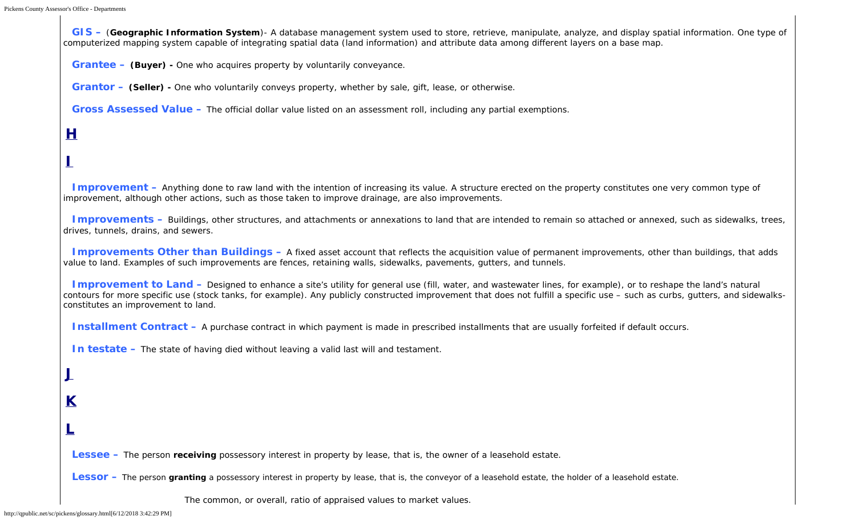**GIS –** (**Geographic Information System**)- A database management system used to store, retrieve, manipulate, analyze, and display spatial information. One type of computerized mapping system capable of integrating spatial data (land information) and attribute data among different layers on a base map.

**Grantee – (Buyer) -** One who acquires property by voluntarily conveyance.

**Grantor – (Seller) -** One who voluntarily conveys property, whether by sale, gift, lease, or otherwise.

**Gross Assessed Value –** The official dollar value listed on an assessment roll, including any partial exemptions.

#### <span id="page-6-0"></span>**H**

#### **I**

**Improvement –** Anything done to raw land with the intention of increasing its value. A structure erected on the property constitutes one very common type of improvement, although other actions, such as those taken to improve drainage, are also improvements.

**Improvements –** Buildings, other structures, and attachments or annexations to land that are intended to remain so attached or annexed, such as sidewalks, trees, drives, tunnels, drains, and sewers.

**Improvements Other than Buildings –** A fixed asset account that reflects the acquisition value of permanent improvements, other than buildings, that adds value to land. Examples of such improvements are fences, retaining walls, sidewalks, pavements, gutters, and tunnels.

**Improvement to Land –** Designed to enhance a site's utility for general use (fill, water, and wastewater lines, for example), or to reshape the land's natural contours for more specific use (stock tanks, for example). Any publicly constructed improvement that does not fulfill a specific use – such as curbs, gutters, and sidewalksconstitutes an improvement to land.

**Installment Contract** – A purchase contract in which payment is made in prescribed installments that are usually forfeited if default occurs.

**In testate –** The state of having died without leaving a valid last will and testament.

**J**

**K**

**L**

<span id="page-6-1"></span>**Lessee –** The person **receiving** possessory interest in property by lease, that is, the owner of a leasehold estate.

**Lessor –** The person **granting** a possessory interest in property by lease, that is, the conveyor of a leasehold estate, the holder of a leasehold estate.

The common, or overall, ratio of appraised values to market values.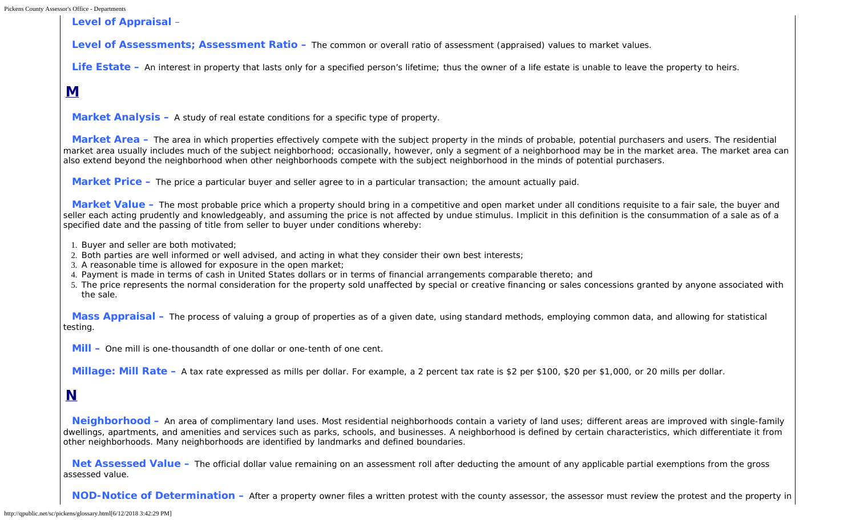**Level of Appraisal** –

**Level of Assessments; Assessment Ratio –** The common or overall ratio of assessment (appraised) values to market values.

Life Estate – An interest in property that lasts only for a specified person's lifetime; thus the owner of a life estate is unable to leave the property to heirs.

### <span id="page-7-0"></span>**M**

**Market Analysis –** A study of real estate conditions for a specific type of property.

**Market Area –** The area in which properties effectively compete with the subject property in the minds of probable, potential purchasers and users. The residential market area usually includes much of the subject neighborhood; occasionally, however, only a segment of a neighborhood may be in the market area. The market area can also extend beyond the neighborhood when other neighborhoods compete with the subject neighborhood in the minds of potential purchasers.

**Market Price –** The price a particular buyer and seller agree to in a particular transaction; the amount actually paid.

**Market Value –** The most probable price which a property should bring in a competitive and open market under all conditions requisite to a fair sale, the buyer and seller each acting prudently and knowledgeably, and assuming the price is not affected by undue stimulus. Implicit in this definition is the consummation of a sale as of a specified date and the passing of title from seller to buyer under conditions whereby:

- 1. Buyer and seller are both motivated;
- 2. Both parties are well informed or well advised, and acting in what they consider their own best interests;
- 3. A reasonable time is allowed for exposure in the open market;
- 4. Payment is made in terms of cash in United States dollars or in terms of financial arrangements comparable thereto; and
- 5. The price represents the normal consideration for the property sold unaffected by special or creative financing or sales concessions granted by anyone associated with the sale.

**Mass Appraisal –** The process of valuing a group of properties as of a given date, using standard methods, employing common data, and allowing for statistical testing.

**Mill –** One mill is one-thousandth of one dollar or one-tenth of one cent.

**Millage: Mill Rate –** A tax rate expressed as mills per dollar. For example, a 2 percent tax rate is \$2 per \$100, \$20 per \$1,000, or 20 mills per dollar.

### <span id="page-7-1"></span>**N**

**Neighborhood –** An area of complimentary land uses. Most residential neighborhoods contain a variety of land uses; different areas are improved with single-family dwellings, apartments, and amenities and services such as parks, schools, and businesses. A neighborhood is defined by certain characteristics, which differentiate it from other neighborhoods. Many neighborhoods are identified by landmarks and defined boundaries.

Net Assessed Value – The official dollar value remaining on an assessment roll after deducting the amount of any applicable partial exemptions from the gross assessed value.

**NOD-Notice of Determination –** After a property owner files a written protest with the county assessor, the assessor must review the protest and the property in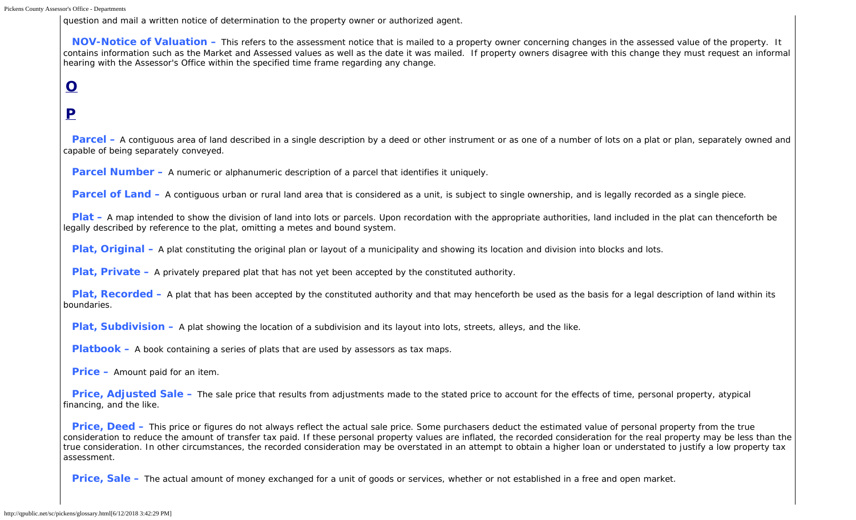question and mail a written notice of determination to the property owner or authorized agent.

**NOV-Notice of Valuation –** This refers to the assessment notice that is mailed to a property owner concerning changes in the assessed value of the property. It contains information such as the Market and Assessed values as well as the date it was mailed. If property owners disagree with this change they must request an informal hearing with the Assessor's Office within the specified time frame regarding any change.

# **O**

## <span id="page-8-0"></span>**P**

**Parcel** – A contiguous area of land described in a single description by a deed or other instrument or as one of a number of lots on a plat or plan, separately owned and capable of being separately conveyed.

**Parcel Number –** A numeric or alphanumeric description of a parcel that identifies it uniquely.

**Parcel of Land –** A contiguous urban or rural land area that is considered as a unit, is subject to single ownership, and is legally recorded as a single piece.

**Plat** – A map intended to show the division of land into lots or parcels. Upon recordation with the appropriate authorities, land included in the plat can thenceforth be legally described by reference to the plat, omitting a metes and bound system.

**Plat, Original –** A plat constituting the original plan or layout of a municipality and showing its location and division into blocks and lots.

**Plat, Private –** A privately prepared plat that has not yet been accepted by the constituted authority.

**Plat, Recorded –** A plat that has been accepted by the constituted authority and that may henceforth be used as the basis for a legal description of land within its boundaries.

**Plat, Subdivision –** A plat showing the location of a subdivision and its layout into lots, streets, alleys, and the like.

**Platbook –** A book containing a series of plats that are used by assessors as tax maps.

**Price –** Amount paid for an item.

**Price, Adjusted Sale –** The sale price that results from adjustments made to the stated price to account for the effects of time, personal property, atypical financing, and the like.

**Price, Deed –** This price or figures do not always reflect the actual sale price. Some purchasers deduct the estimated value of personal property from the true consideration to reduce the amount of transfer tax paid. If these personal property values are inflated, the recorded consideration for the real property may be less than the true consideration. In other circumstances, the recorded consideration may be overstated in an attempt to obtain a higher loan or understated to justify a low property tax assessment.

**Price, Sale –** The actual amount of money exchanged for a unit of goods or services, whether or not established in a free and open market.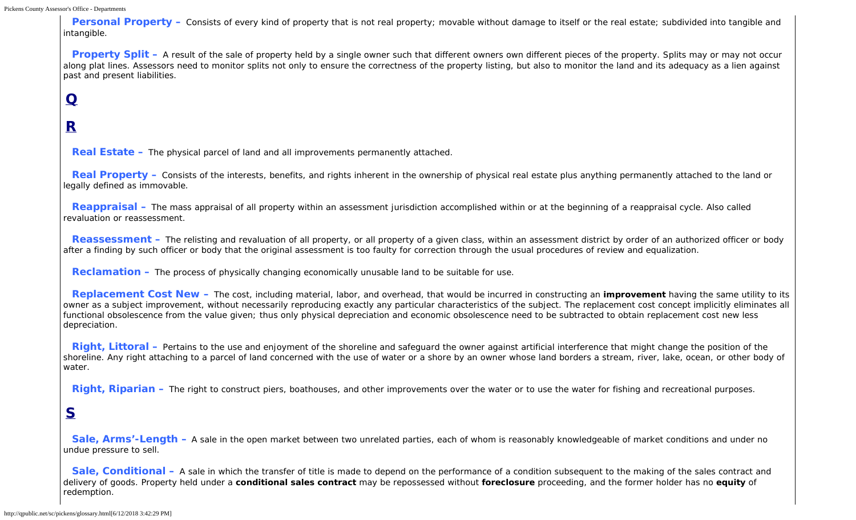**Personal Property** – Consists of every kind of property that is not real property; movable without damage to itself or the real estate; subdivided into tangible and intangible.

**Property Split** – A result of the sale of property held by a single owner such that different owners own different pieces of the property. Splits may or may not occur along plat lines. Assessors need to monitor splits not only to ensure the correctness of the property listing, but also to monitor the land and its adequacy as a lien against past and present liabilities.

# <span id="page-9-0"></span>**Q**

# **R**

**Real Estate –** The physical parcel of land and all improvements permanently attached.

**Real Property** – Consists of the interests, benefits, and rights inherent in the ownership of physical real estate plus anything permanently attached to the land or legally defined as immovable.

**Reappraisal –** The mass appraisal of all property within an assessment jurisdiction accomplished within or at the beginning of a reappraisal cycle. Also called revaluation or reassessment.

**Reassessment** – The relisting and revaluation of all property, or all property of a given class, within an assessment district by order of an authorized officer or body after a finding by such officer or body that the original assessment is too faulty for correction through the usual procedures of review and equalization.

**Reclamation –** The process of physically changing economically unusable land to be suitable for use.

**Replacement Cost New –** The cost, including material, labor, and overhead, that would be incurred in constructing an **improvement** having the same utility to its owner as a subject improvement, without necessarily reproducing exactly any particular characteristics of the subject. The replacement cost concept implicitly eliminates all functional obsolescence from the value given; thus only physical depreciation and economic obsolescence need to be subtracted to obtain replacement cost new less depreciation.

**Right, Littoral** – Pertains to the use and enjoyment of the shoreline and safeguard the owner against artificial interference that might change the position of the shoreline. Any right attaching to a parcel of land concerned with the use of water or a shore by an owner whose land borders a stream, river, lake, ocean, or other body of water.

**Right, Riparian –** The right to construct piers, boathouses, and other improvements over the water or to use the water for fishing and recreational purposes.

#### <span id="page-9-1"></span>**S**

**Sale, Arms'-Length –** A sale in the open market between two unrelated parties, each of whom is reasonably knowledgeable of market conditions and under no undue pressure to sell.

**Sale, Conditional –** A sale in which the transfer of title is made to depend on the performance of a condition subsequent to the making of the sales contract and delivery of goods. Property held under a **conditional sales contract** may be repossessed without **foreclosure** proceeding, and the former holder has no **equity** of redemption.